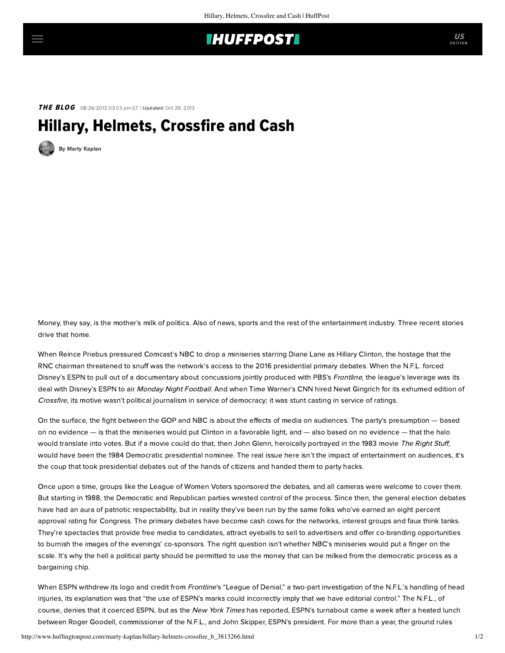## **IHUFFPOSTI**

**THE BLOG** 08/26/2013 03:03 pm ET | Updated Oct 26, 2013

## Hillary, Helmets, Crossfire and Cash



[By Marty Kaplan](http://www.huffingtonpost.com/author/marty-kaplan)

Money, they say, is the mother's milk of politics. Also of news, sports and the rest of the entertainment industry. Three recent stories drive that home.

When Reince Priebus pressured Comcast's NBC to drop a miniseries starring Diane Lane as Hillary Clinton, the hostage that the RNC chairman threatened to snuff was the network's access to the 2016 presidential primary debates. When the N.F.L. forced Disney's ESPN to pull out of a documentary about concussions jointly produced with PBS's Frontline, the league's leverage was its deal with Disney's ESPN to air Monday Night Football. And when Time Warner's CNN hired Newt Gingrich for its exhumed edition of Crossfire, its motive wasn't political journalism in service of democracy; it was stunt casting in service of ratings.

On the surface, the fight between the GOP and NBC is about the effects of media on audiences. The party's presumption — based on no evidence — is that the miniseries would put Clinton in a favorable light, and — also based on no evidence — that the halo would translate into votes. But if a movie could do that, then John Glenn, heroically portrayed in the 1983 movie The Right Stuff, would have been the 1984 Democratic presidential nominee. The real issue here isn't the impact of entertainment on audiences, it's the coup that took presidential debates out of the hands of citizens and handed them to party hacks.

Once upon a time, groups like the League of Women Voters sponsored the debates, and all cameras were welcome to cover them. But starting in 1988, the Democratic and Republican parties [wrested control](http://www.lwv.org/press-releases/league-refuses-help-perpetrate-fraud) of the process. Since then, the general election debates have had an aura of patriotic respectability, but [in reality](http://www.thenation.com/article/169635/open-presidential-debates#) they've been run by [the same folks](http://www.theguardian.com/commentisfree/2012/oct/16/presidential-debate-issues) who've earned an eight percent approval rating for Congress. The primary debates have become cash cows for the networks, interest groups and faux think tanks. They're spectacles that provide free media to candidates, attract eyeballs to sell to advertisers and offer co-branding opportunities to burnish the images of the evenings' co-sponsors. The right question isn't whether NBC's miniseries would put a finger on the scale. It's why the hell a political party should be permitted to use the money that can be milked from the democratic process as a bargaining chip.

When ESPN withdrew its logo and credit from Frontline's "League of Denial," a two-part investigation of the N.F.L.'s handling of head injuries, its explanation was that "the use of ESPN's marks could incorrectly imply that we have editorial control." The N.F.L., of course, denies that it coerced ESPN, but as the New York Times [has reported,](http://www.nytimes.com/2013/08/24/sports/football/nfl-pressure-said-to-prompt-espn-to-quit-film-project.html?pagewanted=all) ESPN's turnabout came a week after a heated lunch between Roger Goodell, commissioner of the N.F.L., and John Skipper, ESPN's president. For more than a year, the ground rules